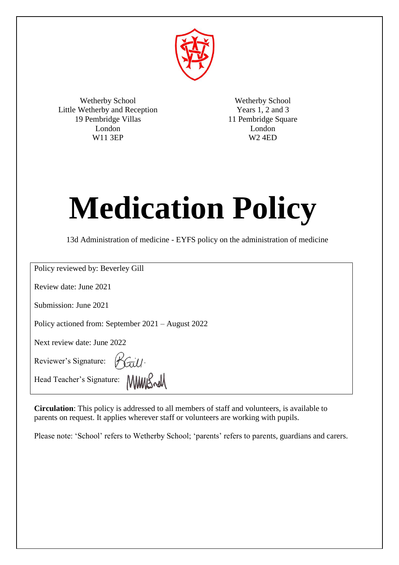

Wetherby School Little Wetherby and Reception 19 Pembridge Villas London W11 3EP

Wetherby School Years 1, 2 and 3 11 Pembridge Square London W2 4ED

# **Medication Policy**

13d Administration of medicine - EYFS policy on the administration of medicine

Policy reviewed by: Beverley Gill

Review date: June 2021

Submission: June 2021

Policy actioned from: September 2021 – August 2022

Next review date: June 2022

Kaill Reviewer's Signature:

Head Teacher's Signature: MMMS

**Circulation**: This policy is addressed to all members of staff and volunteers, is available to parents on request. It applies wherever staff or volunteers are working with pupils.

Please note: 'School' refers to Wetherby School; 'parents' refers to parents, guardians and carers.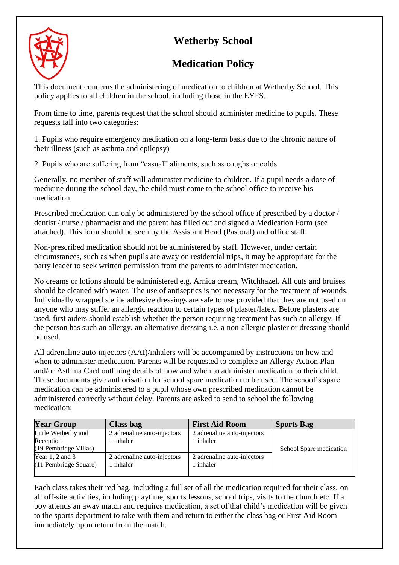# **Wetherby School**



# **Medication Policy**

This document concerns the administering of medication to children at Wetherby School. This policy applies to all children in the school, including those in the EYFS.

From time to time, parents request that the school should administer medicine to pupils. These requests fall into two categories:

1. Pupils who require emergency medication on a long-term basis due to the chronic nature of their illness (such as asthma and epilepsy)

2. Pupils who are suffering from "casual" aliments, such as coughs or colds.

Generally, no member of staff will administer medicine to children. If a pupil needs a dose of medicine during the school day, the child must come to the school office to receive his medication.

Prescribed medication can only be administered by the school office if prescribed by a doctor / dentist / nurse / pharmacist and the parent has filled out and signed a Medication Form (see attached). This form should be seen by the Assistant Head (Pastoral) and office staff.

Non-prescribed medication should not be administered by staff. However, under certain circumstances, such as when pupils are away on residential trips, it may be appropriate for the party leader to seek written permission from the parents to administer medication.

No creams or lotions should be administered e.g. Arnica cream, Witchhazel. All cuts and bruises should be cleaned with water. The use of antiseptics is not necessary for the treatment of wounds. Individually wrapped sterile adhesive dressings are safe to use provided that they are not used on anyone who may suffer an allergic reaction to certain types of plaster/latex. Before plasters are used, first aiders should establish whether the person requiring treatment has such an allergy. If the person has such an allergy, an alternative dressing i.e. a non-allergic plaster or dressing should be used.

All adrenaline auto-injectors (AAI)/inhalers will be accompanied by instructions on how and when to administer medication. Parents will be requested to complete an Allergy Action Plan and/or Asthma Card outlining details of how and when to administer medication to their child. These documents give authorisation for school spare medication to be used. The school's spare medication can be administered to a pupil whose own prescribed medication cannot be administered correctly without delay. Parents are asked to send to school the following medication:

| <b>Year Group</b>                            | Class bag                              | <b>First Aid Room</b>                    | <b>Sports Bag</b>       |  |
|----------------------------------------------|----------------------------------------|------------------------------------------|-------------------------|--|
| Little Wetherby and                          | 2 adrenaline auto-injectors            | 2 adrenaline auto-injectors              |                         |  |
| Reception<br>(19 Pembridge Villas)           | l inhaler                              | 1 inhaler                                | School Spare medication |  |
| Year $1, 2$ and $3$<br>(11 Pembridge Square) | 2 adrenaline auto-injectors<br>inhaler | 2 adrenaline auto-injectors<br>1 inhaler |                         |  |

Each class takes their red bag, including a full set of all the medication required for their class, on all off-site activities, including playtime, sports lessons, school trips, visits to the church etc. If a boy attends an away match and requires medication, a set of that child's medication will be given to the sports department to take with them and return to either the class bag or First Aid Room immediately upon return from the match.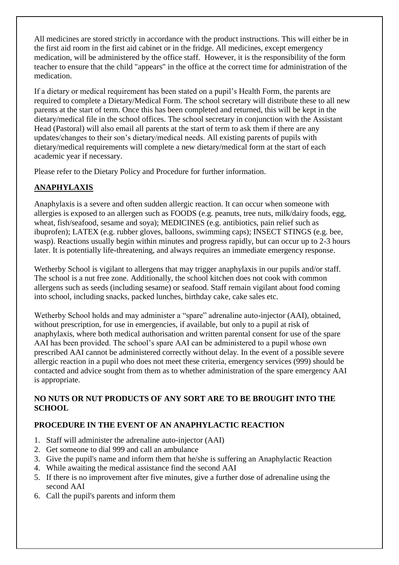All medicines are stored strictly in accordance with the product instructions. This will either be in the first aid room in the first aid cabinet or in the fridge. All medicines, except emergency medication, will be administered by the office staff. However, it is the responsibility of the form teacher to ensure that the child "appears" in the office at the correct time for administration of the medication.

If a dietary or medical requirement has been stated on a pupil's Health Form, the parents are required to complete a Dietary/Medical Form. The school secretary will distribute these to all new parents at the start of term. Once this has been completed and returned, this will be kept in the dietary/medical file in the school offices. The school secretary in conjunction with the Assistant Head (Pastoral) will also email all parents at the start of term to ask them if there are any updates/changes to their son's dietary/medical needs. All existing parents of pupils with dietary/medical requirements will complete a new dietary/medical form at the start of each academic year if necessary.

Please refer to the Dietary Policy and Procedure for further information.

## **ANAPHYLAXIS**

Anaphylaxis is a severe and often sudden allergic reaction. It can occur when someone with allergies is exposed to an allergen such as FOODS (e.g. peanuts, tree nuts, milk/dairy foods, egg, wheat, fish/seafood, sesame and soya); MEDICINES (e.g. antibiotics, pain relief such as ibuprofen); LATEX (e.g. rubber gloves, balloons, swimming caps); INSECT STINGS (e.g. bee, wasp). Reactions usually begin within minutes and progress rapidly, but can occur up to 2-3 hours later. It is potentially life-threatening, and always requires an immediate emergency response.

Wetherby School is vigilant to allergens that may trigger anaphylaxis in our pupils and/or staff. The school is a nut free zone. Additionally, the school kitchen does not cook with common allergens such as seeds (including sesame) or seafood. Staff remain vigilant about food coming into school, including snacks, packed lunches, birthday cake, cake sales etc.

Wetherby School holds and may administer a "spare" adrenaline auto-injector (AAI), obtained, without prescription, for use in emergencies, if available, but only to a pupil at risk of anaphylaxis, where both medical authorisation and written parental consent for use of the spare AAI has been provided. The school's spare AAI can be administered to a pupil whose own prescribed AAI cannot be administered correctly without delay. In the event of a possible severe allergic reaction in a pupil who does not meet these criteria, emergency services (999) should be contacted and advice sought from them as to whether administration of the spare emergency AAI is appropriate.

## **NO NUTS OR NUT PRODUCTS OF ANY SORT ARE TO BE BROUGHT INTO THE SCHOOL**

## **PROCEDURE IN THE EVENT OF AN ANAPHYLACTIC REACTION**

- 1. Staff will administer the adrenaline auto-injector (AAI)
- 2. Get someone to dial 999 and call an ambulance
- 3. Give the pupil's name and inform them that he/she is suffering an Anaphylactic Reaction
- 4. While awaiting the medical assistance find the second AAI
- 5. If there is no improvement after five minutes, give a further dose of adrenaline using the second AAI
- 6. Call the pupil's parents and inform them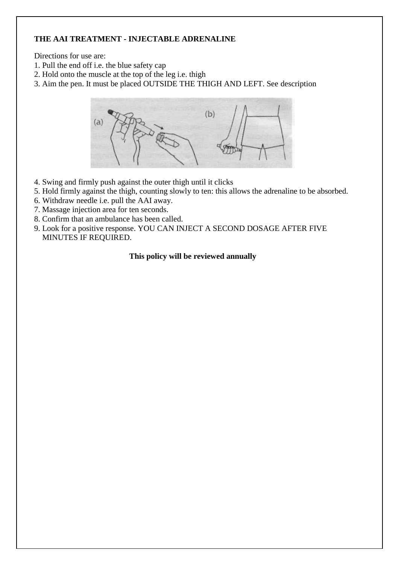## **THE AAI TREATMENT - INJECTABLE ADRENALINE**

Directions for use are:

- 1. Pull the end off i.e. the blue safety cap
- 2. Hold onto the muscle at the top of the leg i.e. thigh
- 3. Aim the pen. It must be placed OUTSIDE THE THIGH AND LEFT. See description



- 4. Swing and firmly push against the outer thigh until it clicks
- 5. Hold firmly against the thigh, counting slowly to ten: this allows the adrenaline to be absorbed.
- 6. Withdraw needle i.e. pull the AAI away.
- 7. Massage injection area for ten seconds.
- 8. Confirm that an ambulance has been called.
- 9. Look for a positive response. YOU CAN INJECT A SECOND DOSAGE AFTER FIVE MINUTES IF REQUIRED.

## **This policy will be reviewed annually**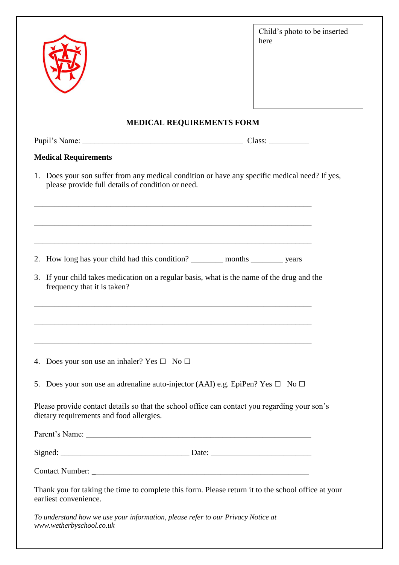|                                                                                                                                                                                                                                                                                                                                                                                                | Child's photo to be inserted<br>here |
|------------------------------------------------------------------------------------------------------------------------------------------------------------------------------------------------------------------------------------------------------------------------------------------------------------------------------------------------------------------------------------------------|--------------------------------------|
| <b>MEDICAL REQUIREMENTS FORM</b>                                                                                                                                                                                                                                                                                                                                                               |                                      |
|                                                                                                                                                                                                                                                                                                                                                                                                |                                      |
| <b>Medical Requirements</b>                                                                                                                                                                                                                                                                                                                                                                    |                                      |
| 1. Does your son suffer from any medical condition or have any specific medical need? If yes,<br>please provide full details of condition or need.<br><u> 1980 - Jan James James James James James James James James James James James James James James James James J</u><br>and the control of the control of the control of the control of the control of the control of the control of the |                                      |
| 2. How long has your child had this condition? ___________ months ___________ years<br>3. If your child takes medication on a regular basis, what is the name of the drug and the<br>frequency that it is taken?                                                                                                                                                                               |                                      |
| and the control of the control of the control of the control of the control of the control of the control of the<br>4. Does your son use an inhaler? Yes $\square$ No $\square$                                                                                                                                                                                                                |                                      |
| 5. Does your son use an adrenaline auto-injector (AAI) e.g. EpiPen? Yes $\Box$ No $\Box$                                                                                                                                                                                                                                                                                                       |                                      |
| Please provide contact details so that the school office can contact you regarding your son's<br>dietary requirements and food allergies.                                                                                                                                                                                                                                                      |                                      |
|                                                                                                                                                                                                                                                                                                                                                                                                |                                      |
| Signed: Date: Date: Date:                                                                                                                                                                                                                                                                                                                                                                      |                                      |
|                                                                                                                                                                                                                                                                                                                                                                                                |                                      |
| Thank you for taking the time to complete this form. Please return it to the school office at your<br>earliest convenience.                                                                                                                                                                                                                                                                    |                                      |
| To understand how we use your information, please refer to our Privacy Notice at<br>www.wetherbyschool.co.uk                                                                                                                                                                                                                                                                                   |                                      |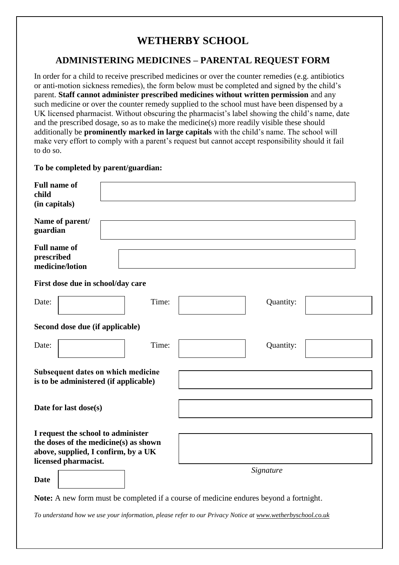## **WETHERBY SCHOOL**

## **ADMINISTERING MEDICINES – PARENTAL REQUEST FORM**

In order for a child to receive prescribed medicines or over the counter remedies (e.g. antibiotics or anti-motion sickness remedies), the form below must be completed and signed by the child's parent. **Staff cannot administer prescribed medicines without written permission** and any such medicine or over the counter remedy supplied to the school must have been dispensed by a UK licensed pharmacist. Without obscuring the pharmacist's label showing the child's name, date and the prescribed dosage, so as to make the medicine(s) more readily visible these should additionally be **prominently marked in large capitals** with the child's name. The school will make very effort to comply with a parent's request but cannot accept responsibility should it fail to do so.

#### **To be completed by parent/guardian:**

| <b>Full name of</b><br>child<br>(in capitals)                                                                                              |       |  |           |  |  |  |
|--------------------------------------------------------------------------------------------------------------------------------------------|-------|--|-----------|--|--|--|
| Name of parent/<br>guardian                                                                                                                |       |  |           |  |  |  |
| <b>Full name of</b><br>prescribed<br>medicine/lotion                                                                                       |       |  |           |  |  |  |
| First dose due in school/day care                                                                                                          |       |  |           |  |  |  |
| Date:                                                                                                                                      | Time: |  | Quantity: |  |  |  |
| Second dose due (if applicable)                                                                                                            |       |  |           |  |  |  |
| Date:                                                                                                                                      | Time: |  | Quantity: |  |  |  |
| Subsequent dates on which medicine<br>is to be administered (if applicable)                                                                |       |  |           |  |  |  |
| Date for last dose(s)                                                                                                                      |       |  |           |  |  |  |
| I request the school to administer<br>the doses of the medicine(s) as shown<br>above, supplied, I confirm, by a UK<br>licensed pharmacist. |       |  |           |  |  |  |
| <b>Date</b>                                                                                                                                |       |  | Signature |  |  |  |

**Note:** A new form must be completed if a course of medicine endures beyond a fortnight.

*To understand how we use your information, please refer to our Privacy Notice at [www.wetherbyschool.co.uk](http://www.wetherbyschool.co.uk/)*